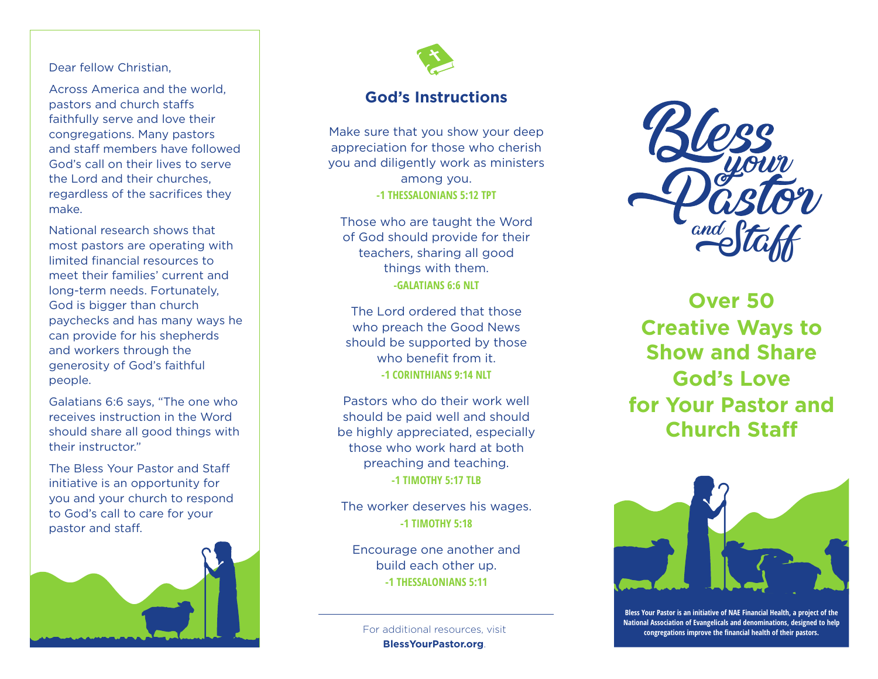#### Dear fellow Christian,

Across America and the world, pastors and church staffs. faithfully serve and love their congregations. Many pastors and staff members have followed God's call on their lives to serve the Lord and their churches, regardless of the sacrifices they make.

National research shows that most pastors are operating with limited financial resources to meet their families' current and long-term needs. Fortunately, God is bigger than church paychecks and has many ways he can provide for his shepherds and workers through the generosity of God's faithful people.

Galatians 6:6 says, "The one who receives instruction in the Word should share all good things with their instructor."

The Bless Your Pastor and Sta initiative is an opportunity for you and your church to respond to God's call to care for your pastor and staff.





### **God's Instructions**

Make sure that you show your deep appreciation for those who cherish you and diligently work as ministers among you. **-1 THESSALONIANS 5:12 TPT**

Those who are taught the Word of God should provide for their teachers, sharing all good things with them. **-GALATIANS 6:6 NLT**

The Lord ordered that those who preach the Good News should be supported by those who benefit from it. **-1 CORINTHIANS 9:14 NLT**

Pastors who do their work well should be paid well and should be highly appreciated, especially those who work hard at both preaching and teaching. **-1 TIMOTHY 5:17 TLB**

The worker deserves his wages. **-1 TIMOTHY 5:18**

Encourage one another and build each other up. **-1 THESSALONIANS 5:11**

**BlessYourPastor.org**.



**Over 50 Creative Ways to Show and Share God's Love for Your Pastor and Church Sta**



**Bless Your Pastor is an initiative of NAE Financial Health, a project of the National Association of Evangelicals and denominations, designed to help** For additional resources, visit **congregations improve the financial health of their pastors.**